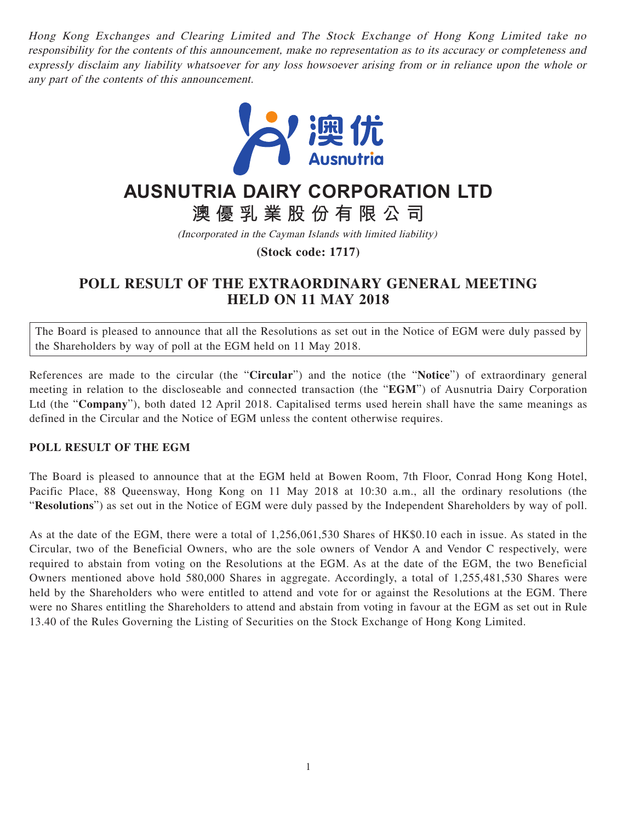Hong Kong Exchanges and Clearing Limited and The Stock Exchange of Hong Kong Limited take no responsibility for the contents of this announcement, make no representation as to its accuracy or completeness and expressly disclaim any liability whatsoever for any loss howsoever arising from or in reliance upon the whole or any part of the contents of this announcement.



## **AUSNUTRIA DAIRY CORPORATION LTD**

**澳優乳業股份有限公司**

(Incorporated in the Cayman Islands with limited liability)

**(Stock code: 1717)**

## **POLL RESULT OF THE EXTRAORDINARY GENERAL MEETING HELD ON 11 MAY 2018**

The Board is pleased to announce that all the Resolutions as set out in the Notice of EGM were duly passed by the Shareholders by way of poll at the EGM held on 11 May 2018.

References are made to the circular (the "**Circular**") and the notice (the "**Notice**") of extraordinary general meeting in relation to the discloseable and connected transaction (the "**EGM**") of Ausnutria Dairy Corporation Ltd (the "**Company**"), both dated 12 April 2018. Capitalised terms used herein shall have the same meanings as defined in the Circular and the Notice of EGM unless the content otherwise requires.

## **POLL RESULT OF THE EGM**

The Board is pleased to announce that at the EGM held at Bowen Room, 7th Floor, Conrad Hong Kong Hotel, Pacific Place, 88 Queensway, Hong Kong on 11 May 2018 at 10:30 a.m., all the ordinary resolutions (the "**Resolutions**") as set out in the Notice of EGM were duly passed by the Independent Shareholders by way of poll.

As at the date of the EGM, there were a total of 1,256,061,530 Shares of HK\$0.10 each in issue. As stated in the Circular, two of the Beneficial Owners, who are the sole owners of Vendor A and Vendor C respectively, were required to abstain from voting on the Resolutions at the EGM. As at the date of the EGM, the two Beneficial Owners mentioned above hold 580,000 Shares in aggregate. Accordingly, a total of 1,255,481,530 Shares were held by the Shareholders who were entitled to attend and vote for or against the Resolutions at the EGM. There were no Shares entitling the Shareholders to attend and abstain from voting in favour at the EGM as set out in Rule 13.40 of the Rules Governing the Listing of Securities on the Stock Exchange of Hong Kong Limited.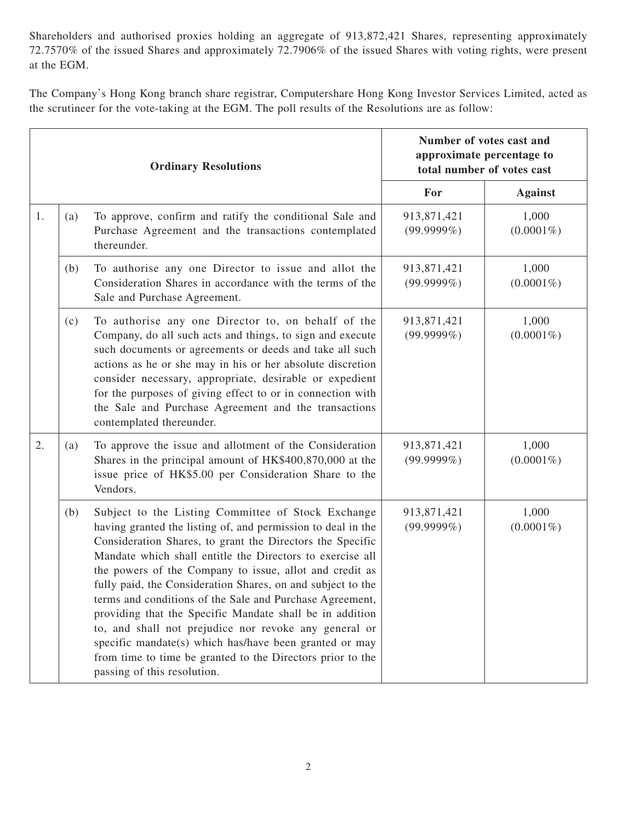Shareholders and authorised proxies holding an aggregate of 913,872,421 Shares, representing approximately 72.7570% of the issued Shares and approximately 72.7906% of the issued Shares with voting rights, were present at the EGM.

The Company's Hong Kong branch share registrar, Computershare Hong Kong Investor Services Limited, acted as the scrutineer for the vote-taking at the EGM. The poll results of the Resolutions are as follow:

|    | <b>Ordinary Resolutions</b> |                                                                                                                                                                                                                                                                                                                                                                                                                                                                                                                                                                                                                                                                                                                | Number of votes cast and<br>approximate percentage to<br>total number of votes cast |                       |
|----|-----------------------------|----------------------------------------------------------------------------------------------------------------------------------------------------------------------------------------------------------------------------------------------------------------------------------------------------------------------------------------------------------------------------------------------------------------------------------------------------------------------------------------------------------------------------------------------------------------------------------------------------------------------------------------------------------------------------------------------------------------|-------------------------------------------------------------------------------------|-----------------------|
|    |                             |                                                                                                                                                                                                                                                                                                                                                                                                                                                                                                                                                                                                                                                                                                                | For                                                                                 | <b>Against</b>        |
| 1. | (a)                         | To approve, confirm and ratify the conditional Sale and<br>Purchase Agreement and the transactions contemplated<br>thereunder.                                                                                                                                                                                                                                                                                                                                                                                                                                                                                                                                                                                 | 913,871,421<br>$(99.9999\%)$                                                        | 1,000<br>$(0.0001\%)$ |
|    | (b)                         | To authorise any one Director to issue and allot the<br>Consideration Shares in accordance with the terms of the<br>Sale and Purchase Agreement.                                                                                                                                                                                                                                                                                                                                                                                                                                                                                                                                                               | 913,871,421<br>$(99.9999\%)$                                                        | 1,000<br>$(0.0001\%)$ |
|    | (c)                         | To authorise any one Director to, on behalf of the<br>Company, do all such acts and things, to sign and execute<br>such documents or agreements or deeds and take all such<br>actions as he or she may in his or her absolute discretion<br>consider necessary, appropriate, desirable or expedient<br>for the purposes of giving effect to or in connection with<br>the Sale and Purchase Agreement and the transactions<br>contemplated thereunder.                                                                                                                                                                                                                                                          | 913,871,421<br>$(99.9999\%)$                                                        | 1,000<br>$(0.0001\%)$ |
| 2. | (a)                         | To approve the issue and allotment of the Consideration<br>Shares in the principal amount of HK\$400,870,000 at the<br>issue price of HK\$5.00 per Consideration Share to the<br>Vendors.                                                                                                                                                                                                                                                                                                                                                                                                                                                                                                                      | 913,871,421<br>$(99.9999\%)$                                                        | 1,000<br>$(0.0001\%)$ |
|    | (b)                         | Subject to the Listing Committee of Stock Exchange<br>having granted the listing of, and permission to deal in the<br>Consideration Shares, to grant the Directors the Specific<br>Mandate which shall entitle the Directors to exercise all<br>the powers of the Company to issue, allot and credit as<br>fully paid, the Consideration Shares, on and subject to the<br>terms and conditions of the Sale and Purchase Agreement,<br>providing that the Specific Mandate shall be in addition<br>to, and shall not prejudice nor revoke any general or<br>specific mandate(s) which has/have been granted or may<br>from time to time be granted to the Directors prior to the<br>passing of this resolution. | 913,871,421<br>$(99.9999\%)$                                                        | 1,000<br>$(0.0001\%)$ |